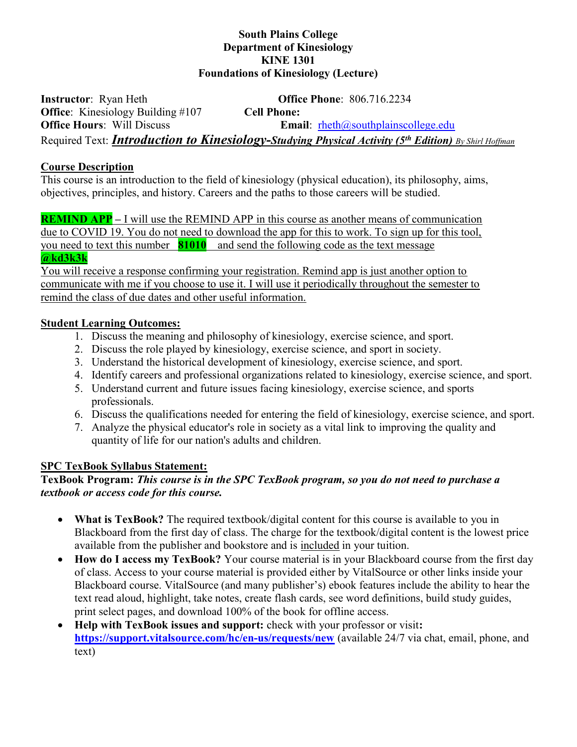## South Plains College Department of Kinesiology KINE 1301 Foundations of Kinesiology (Lecture)

Instructor: Ryan Heth **Office Phone**: 806.716.2234 Office: Kinesiology Building #107 Cell Phone: Office Hours: Will Discuss Email: rheth@southplainscollege.edu Required Text: **Introduction to Kinesiology-Studying Physical Activity (5<sup>th</sup> Edition)** By Shirl Hoffman

## Course Description

This course is an introduction to the field of kinesiology (physical education), its philosophy, aims, objectives, principles, and history. Careers and the paths to those careers will be studied.

**REMIND APP** – I will use the REMIND APP in this course as another means of communication due to COVID 19. You do not need to download the app for this to work. To sign up for this tool, you need to text this number  $\left[81010\right]$  and send the following code as the text message @kd3k3k

You will receive a response confirming your registration. Remind app is just another option to communicate with me if you choose to use it. I will use it periodically throughout the semester to remind the class of due dates and other useful information.

# Student Learning Outcomes:

- 1. Discuss the meaning and philosophy of kinesiology, exercise science, and sport.
- 2. Discuss the role played by kinesiology, exercise science, and sport in society.
- 3. Understand the historical development of kinesiology, exercise science, and sport.
- 4. Identify careers and professional organizations related to kinesiology, exercise science, and sport.
- 5. Understand current and future issues facing kinesiology, exercise science, and sports professionals.
- 6. Discuss the qualifications needed for entering the field of kinesiology, exercise science, and sport.
- 7. Analyze the physical educator's role in society as a vital link to improving the quality and quantity of life for our nation's adults and children.

## SPC TexBook Syllabus Statement:

# TexBook Program: This course is in the SPC TexBook program, so you do not need to purchase a textbook or access code for this course.

- What is TexBook? The required textbook/digital content for this course is available to you in Blackboard from the first day of class. The charge for the textbook/digital content is the lowest price available from the publisher and bookstore and is included in your tuition.
- How do I access my TexBook? Your course material is in your Blackboard course from the first day of class. Access to your course material is provided either by VitalSource or other links inside your Blackboard course. VitalSource (and many publisher's) ebook features include the ability to hear the text read aloud, highlight, take notes, create flash cards, see word definitions, build study guides, print select pages, and download 100% of the book for offline access.
- Help with TexBook issues and support: check with your professor or visit: https://support.vitalsource.com/hc/en-us/requests/new (available 24/7 via chat, email, phone, and text)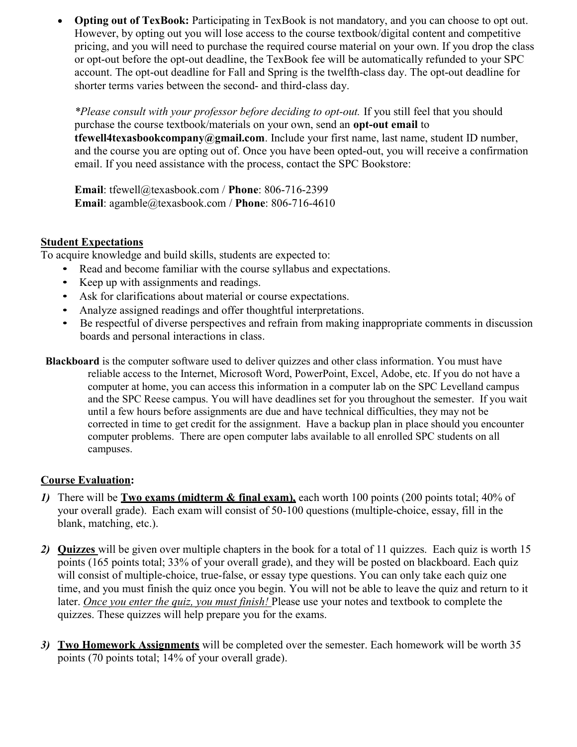• Opting out of TexBook: Participating in TexBook is not mandatory, and you can choose to opt out. However, by opting out you will lose access to the course textbook/digital content and competitive pricing, and you will need to purchase the required course material on your own. If you drop the class or opt-out before the opt-out deadline, the TexBook fee will be automatically refunded to your SPC account. The opt-out deadline for Fall and Spring is the twelfth-class day. The opt-out deadline for shorter terms varies between the second- and third-class day.

\*Please consult with your professor before deciding to opt-out. If you still feel that you should purchase the course textbook/materials on your own, send an opt-out email to tfewell4texasbookcompany@gmail.com. Include your first name, last name, student ID number, and the course you are opting out of. Once you have been opted-out, you will receive a confirmation email. If you need assistance with the process, contact the SPC Bookstore:

Email: tfewell@texasbook.com / Phone: 806-716-2399 Email: agamble@texasbook.com / Phone: 806-716-4610

## Student Expectations

- 
- 
- 
- 
- To acquire knowledge and build skills, students are expected to:<br>
Read and become familiar with the course syllabus and expectations.<br>
Keep up with assignments and readings.<br>
Ask for clarifications about material or boards and personal interactions in class.
- Blackboard is the computer software used to deliver quizzes and other class information. You must have reliable access to the Internet, Microsoft Word, PowerPoint, Excel, Adobe, etc. If you do not have a computer at home, you can access this information in a computer lab on the SPC Levelland campus and the SPC Reese campus. You will have deadlines set for you throughout the semester. If you wait until a few hours before assignments are due and have technical difficulties, they may not be corrected in time to get credit for the assignment. Have a backup plan in place should you encounter computer problems. There are open computer labs available to all enrolled SPC students on all campuses.

# Course Evaluation:

- 1) There will be **Two exams (midterm & final exam)**, each worth 100 points (200 points total; 40% of your overall grade). Each exam will consist of 50-100 questions (multiple-choice, essay, fill in the blank, matching, etc.).
- 2) Quizzes will be given over multiple chapters in the book for a total of 11 quizzes. Each quiz is worth 15 points (165 points total; 33% of your overall grade), and they will be posted on blackboard. Each quiz will consist of multiple-choice, true-false, or essay type questions. You can only take each quiz one time, and you must finish the quiz once you begin. You will not be able to leave the quiz and return to it later. Once you enter the quiz, you must finish! Please use your notes and textbook to complete the quizzes. These quizzes will help prepare you for the exams.
- 3) Two Homework Assignments will be completed over the semester. Each homework will be worth 35 points (70 points total; 14% of your overall grade).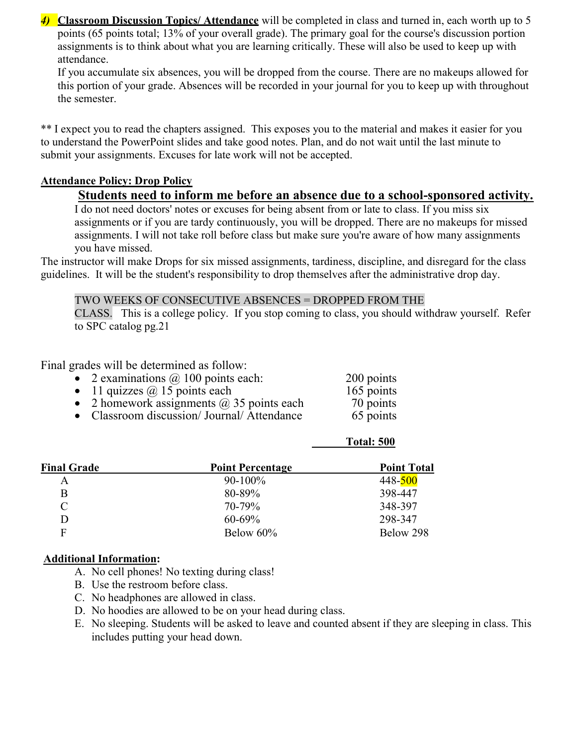4) Classroom Discussion Topics/ Attendance will be completed in class and turned in, each worth up to 5 points (65 points total; 13% of your overall grade). The primary goal for the course's discussion portion assignments is to think about what you are learning critically. These will also be used to keep up with attendance.

If you accumulate six absences, you will be dropped from the course. There are no makeups allowed for this portion of your grade. Absences will be recorded in your journal for you to keep up with throughout the semester.

\*\* I expect you to read the chapters assigned. This exposes you to the material and makes it easier for you to understand the PowerPoint slides and take good notes. Plan, and do not wait until the last minute to submit your assignments. Excuses for late work will not be accepted.

# Attendance Policy: Drop Policy

# Students need to inform me before an absence due to a school-sponsored activity.

I do not need doctors' notes or excuses for being absent from or late to class. If you miss six assignments or if you are tardy continuously, you will be dropped. There are no makeups for missed assignments. I will not take roll before class but make sure you're aware of how many assignments you have missed.

The instructor will make Drops for six missed assignments, tardiness, discipline, and disregard for the class guidelines. It will be the student's responsibility to drop themselves after the administrative drop day.

#### TWO WEEKS OF CONSECUTIVE ABSENCES = DROPPED FROM THE

CLASS. This is a college policy. If you stop coming to class, you should withdraw yourself. Refer to SPC catalog pg.21

Total: 500

Final grades will be determined as follow:

- 2 examinations  $\omega$  100 points each: 200 points
- 
- 11 quizzes  $\omega$  15 points each 165 points<br>
2 homework assignments  $\omega$  35 points each 70 points 2 homework assignments  $\omega$  35 points each 70 points
- Classroom discussion/ Journal/ Attendance 65 points

| <b>Point Percentage</b> | <b>Point Total</b> |
|-------------------------|--------------------|
| $90 - 100\%$            | 448-500            |
| 80-89%                  | 398-447            |
| 70-79%                  | 348-397            |
| $60 - 69\%$             | 298-347            |
| Below 60%               | Below 298          |
|                         |                    |

## Additional Information:

- A. No cell phones! No texting during class!
- B. Use the restroom before class.
- C. No headphones are allowed in class.
- D. No hoodies are allowed to be on your head during class.
- E. No sleeping. Students will be asked to leave and counted absent if they are sleeping in class. This includes putting your head down.